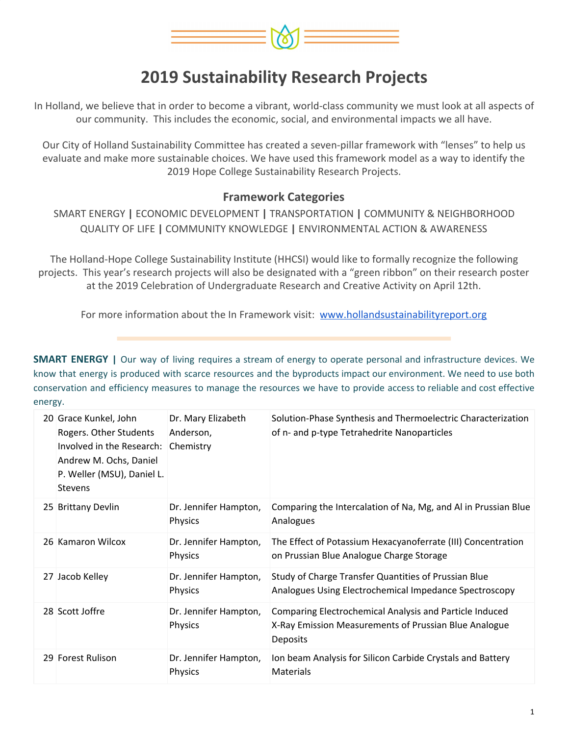

In Holland, we believe that in order to become a vibrant, world-class community we must look at all aspects of our community. This includes the economic, social, and environmental impacts we all have.

Our City of Holland Sustainability Committee has created a seven-pillar framework with "lenses" to help us evaluate and make more sustainable choices. We have used this framework model as a way to identify the 2019 Hope College Sustainability Research Projects.

#### **Framework Categories**

SMART ENERGY **|** ECONOMIC DEVELOPMENT **|** TRANSPORTATION **|** COMMUNITY & NEIGHBORHOOD QUALITY OF LIFE **|** COMMUNITY KNOWLEDGE **|** ENVIRONMENTAL ACTION & AWARENESS

The Holland-Hope College Sustainability Institute (HHCSI) would like to formally recognize the following projects. This year's research projects will also be designated with a "green ribbon" on their research poster at the 2019 Celebration of Undergraduate Research and Creative Activity on April 12th.

For more information about the In Framework visit: [www.hollandsustainabilityreport.org](http://www.hollandsustainabilityreport.org/)

**SMART ENERGY |** Our way of living requires a stream of energy to operate personal and infrastructure devices. We know that energy is produced with scarce resources and the byproducts impact our environment. We need to use both conservation and efficiency measures to manage the resources we have to provide access to reliable and cost effective energy.

| 20 Grace Kunkel, John<br>Rogers. Other Students<br>Involved in the Research:<br>Andrew M. Ochs, Daniel<br>P. Weller (MSU), Daniel L.<br><b>Stevens</b> | Dr. Mary Elizabeth<br>Anderson,<br>Chemistry | Solution-Phase Synthesis and Thermoelectric Characterization<br>of n- and p-type Tetrahedrite Nanoparticles                  |
|--------------------------------------------------------------------------------------------------------------------------------------------------------|----------------------------------------------|------------------------------------------------------------------------------------------------------------------------------|
| 25 Brittany Devlin                                                                                                                                     | Dr. Jennifer Hampton,<br>Physics             | Comparing the Intercalation of Na, Mg, and Al in Prussian Blue<br>Analogues                                                  |
| 26 Kamaron Wilcox                                                                                                                                      | Dr. Jennifer Hampton,<br>Physics             | The Effect of Potassium Hexacyanoferrate (III) Concentration<br>on Prussian Blue Analogue Charge Storage                     |
| 27 Jacob Kelley                                                                                                                                        | Dr. Jennifer Hampton,<br>Physics             | Study of Charge Transfer Quantities of Prussian Blue<br>Analogues Using Electrochemical Impedance Spectroscopy               |
| 28 Scott Joffre                                                                                                                                        | Dr. Jennifer Hampton,<br>Physics             | Comparing Electrochemical Analysis and Particle Induced<br>X-Ray Emission Measurements of Prussian Blue Analogue<br>Deposits |
| 29 Forest Rulison                                                                                                                                      | Dr. Jennifer Hampton,<br><b>Physics</b>      | Ion beam Analysis for Silicon Carbide Crystals and Battery<br>Materials                                                      |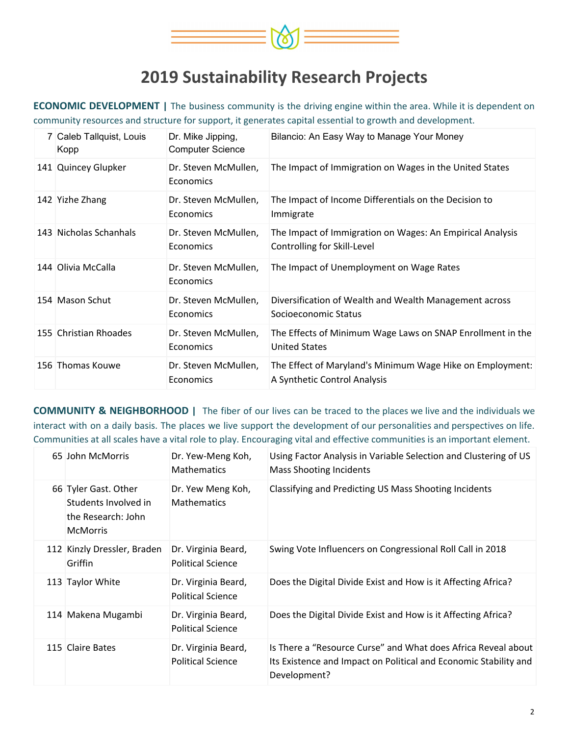

**ECONOMIC DEVELOPMENT |** The business community is the driving engine within the area. While it is dependent on community resources and structure for support, it generates capital essential to growth and development.

| 7 Caleb Tallquist, Louis<br>Kopp | Dr. Mike Jipping,<br><b>Computer Science</b> | Bilancio: An Easy Way to Manage Your Money                                                |
|----------------------------------|----------------------------------------------|-------------------------------------------------------------------------------------------|
| 141 Quincey Glupker              | Dr. Steven McMullen,<br>Economics            | The Impact of Immigration on Wages in the United States                                   |
| 142 Yizhe Zhang                  | Dr. Steven McMullen,<br>Economics            | The Impact of Income Differentials on the Decision to<br>Immigrate                        |
| 143 Nicholas Schanhals           | Dr. Steven McMullen,<br>Economics            | The Impact of Immigration on Wages: An Empirical Analysis<br>Controlling for Skill-Level  |
| 144 Olivia McCalla               | Dr. Steven McMullen,<br>Economics            | The Impact of Unemployment on Wage Rates                                                  |
| 154 Mason Schut                  | Dr. Steven McMullen,<br><b>Economics</b>     | Diversification of Wealth and Wealth Management across<br>Socioeconomic Status            |
| 155 Christian Rhoades            | Dr. Steven McMullen,<br><b>Economics</b>     | The Effects of Minimum Wage Laws on SNAP Enrollment in the<br><b>United States</b>        |
| 156 Thomas Kouwe                 | Dr. Steven McMullen,<br>Economics            | The Effect of Maryland's Minimum Wage Hike on Employment:<br>A Synthetic Control Analysis |

**COMMUNITY & NEIGHBORHOOD |** The fiber of our lives can be traced to the places we live and the individuals we interact with on a daily basis. The places we live support the development of our personalities and perspectives on life. Communities at all scales have a vital role to play. Encouraging vital and effective communities is an important element.

| 65 John McMorris                                                                      | Dr. Yew-Meng Koh,<br><b>Mathematics</b>         | Using Factor Analysis in Variable Selection and Clustering of US<br><b>Mass Shooting Incidents</b>                                                |
|---------------------------------------------------------------------------------------|-------------------------------------------------|---------------------------------------------------------------------------------------------------------------------------------------------------|
| 66 Tyler Gast. Other<br>Students Involved in<br>the Research: John<br><b>McMorris</b> | Dr. Yew Meng Koh,<br><b>Mathematics</b>         | Classifying and Predicting US Mass Shooting Incidents                                                                                             |
| 112 Kinzly Dressler, Braden<br>Griffin                                                | Dr. Virginia Beard,<br><b>Political Science</b> | Swing Vote Influencers on Congressional Roll Call in 2018                                                                                         |
| 113 Taylor White                                                                      | Dr. Virginia Beard,<br><b>Political Science</b> | Does the Digital Divide Exist and How is it Affecting Africa?                                                                                     |
| 114 Makena Mugambi                                                                    | Dr. Virginia Beard,<br><b>Political Science</b> | Does the Digital Divide Exist and How is it Affecting Africa?                                                                                     |
| 115 Claire Bates                                                                      | Dr. Virginia Beard,<br><b>Political Science</b> | Is There a "Resource Curse" and What does Africa Reveal about<br>Its Existence and Impact on Political and Economic Stability and<br>Development? |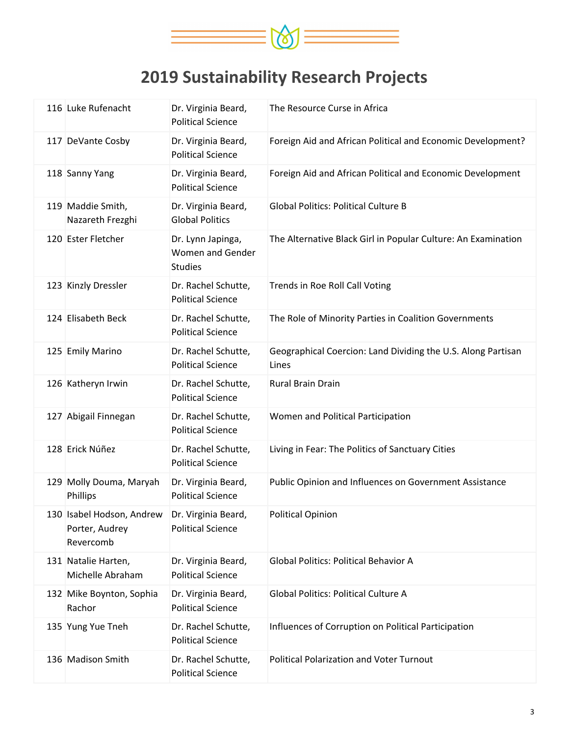

| 116 Luke Rufenacht                                       | Dr. Virginia Beard,<br><b>Political Science</b>         | The Resource Curse in Africa                                          |
|----------------------------------------------------------|---------------------------------------------------------|-----------------------------------------------------------------------|
| 117 DeVante Cosby                                        | Dr. Virginia Beard,<br><b>Political Science</b>         | Foreign Aid and African Political and Economic Development?           |
| 118 Sanny Yang                                           | Dr. Virginia Beard,<br><b>Political Science</b>         | Foreign Aid and African Political and Economic Development            |
| 119 Maddie Smith,<br>Nazareth Frezghi                    | Dr. Virginia Beard,<br><b>Global Politics</b>           | <b>Global Politics: Political Culture B</b>                           |
| 120 Ester Fletcher                                       | Dr. Lynn Japinga,<br>Women and Gender<br><b>Studies</b> | The Alternative Black Girl in Popular Culture: An Examination         |
| 123 Kinzly Dressler                                      | Dr. Rachel Schutte,<br><b>Political Science</b>         | Trends in Roe Roll Call Voting                                        |
| 124 Elisabeth Beck                                       | Dr. Rachel Schutte,<br><b>Political Science</b>         | The Role of Minority Parties in Coalition Governments                 |
| 125 Emily Marino                                         | Dr. Rachel Schutte,<br><b>Political Science</b>         | Geographical Coercion: Land Dividing the U.S. Along Partisan<br>Lines |
| 126 Katheryn Irwin                                       | Dr. Rachel Schutte,<br><b>Political Science</b>         | Rural Brain Drain                                                     |
| 127 Abigail Finnegan                                     | Dr. Rachel Schutte,<br><b>Political Science</b>         | Women and Political Participation                                     |
| 128 Erick Núñez                                          | Dr. Rachel Schutte,<br><b>Political Science</b>         | Living in Fear: The Politics of Sanctuary Cities                      |
| 129 Molly Douma, Maryah<br>Phillips                      | Dr. Virginia Beard,<br><b>Political Science</b>         | Public Opinion and Influences on Government Assistance                |
| 130 Isabel Hodson, Andrew<br>Porter, Audrey<br>Revercomb | Dr. Virginia Beard,<br><b>Political Science</b>         | <b>Political Opinion</b>                                              |
| 131 Natalie Harten,<br>Michelle Abraham                  | Dr. Virginia Beard,<br><b>Political Science</b>         | <b>Global Politics: Political Behavior A</b>                          |
| 132 Mike Boynton, Sophia<br>Rachor                       | Dr. Virginia Beard,<br><b>Political Science</b>         | <b>Global Politics: Political Culture A</b>                           |
| 135 Yung Yue Tneh                                        | Dr. Rachel Schutte,<br><b>Political Science</b>         | Influences of Corruption on Political Participation                   |
| 136 Madison Smith                                        | Dr. Rachel Schutte,<br><b>Political Science</b>         | <b>Political Polarization and Voter Turnout</b>                       |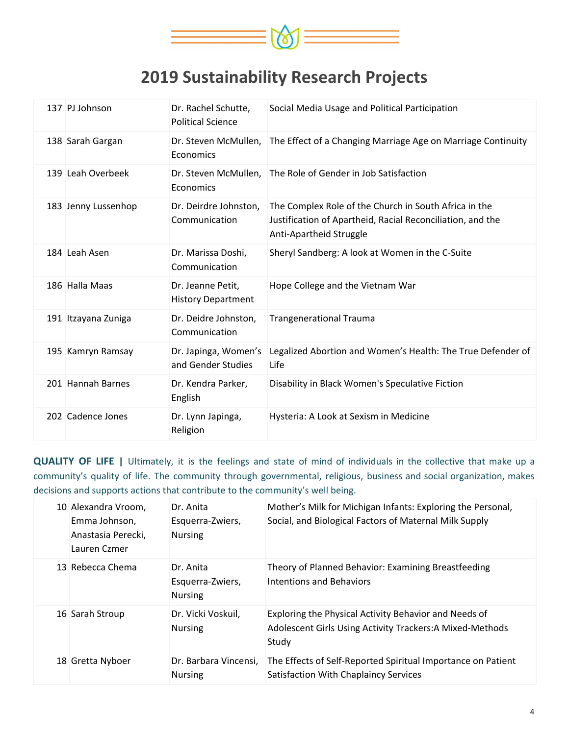

| 137 PJ Johnson      | Dr. Rachel Schutte,<br><b>Political Science</b> | Social Media Usage and Political Participation                                                                                                 |
|---------------------|-------------------------------------------------|------------------------------------------------------------------------------------------------------------------------------------------------|
| 138 Sarah Gargan    | Economics                                       | Dr. Steven McMullen, The Effect of a Changing Marriage Age on Marriage Continuity                                                              |
| 139 Leah Overbeek   | Economics                                       | Dr. Steven McMullen, The Role of Gender in Job Satisfaction                                                                                    |
| 183 Jenny Lussenhop | Dr. Deirdre Johnston,<br>Communication          | The Complex Role of the Church in South Africa in the<br>Justification of Apartheid, Racial Reconciliation, and the<br>Anti-Apartheid Struggle |
| 184 Leah Asen       | Dr. Marissa Doshi,<br>Communication             | Sheryl Sandberg: A look at Women in the C-Suite                                                                                                |
| 186 Halla Maas      | Dr. Jeanne Petit,<br><b>History Department</b>  | Hope College and the Vietnam War                                                                                                               |
| 191 Itzayana Zuniga | Dr. Deidre Johnston,<br>Communication           | <b>Trangenerational Trauma</b>                                                                                                                 |
| 195 Kamryn Ramsay   | Dr. Japinga, Women's<br>and Gender Studies      | Legalized Abortion and Women's Health: The True Defender of<br>Life                                                                            |
| 201 Hannah Barnes   | Dr. Kendra Parker,<br>English                   | Disability in Black Women's Speculative Fiction                                                                                                |
| 202 Cadence Jones   | Dr. Lynn Japinga,<br>Religion                   | Hysteria: A Look at Sexism in Medicine                                                                                                         |

**QUALITY OF LIFE |** Ultimately, it is the feelings and state of mind of individuals in the collective that make up a community's quality of life. The community through governmental, religious, business and social organization, makes decisions and supports actions that contribute to the community's well being.

| 10 Alexandra Vroom,<br>Emma Johnson,<br>Anastasia Perecki,<br>Lauren Czmer | Dr. Anita<br>Esquerra-Zwiers,<br><b>Nursing</b> | Mother's Milk for Michigan Infants: Exploring the Personal,<br>Social, and Biological Factors of Maternal Milk Supply       |
|----------------------------------------------------------------------------|-------------------------------------------------|-----------------------------------------------------------------------------------------------------------------------------|
| 13 Rebecca Chema                                                           | Dr. Anita<br>Esquerra-Zwiers,<br><b>Nursing</b> | Theory of Planned Behavior: Examining Breastfeeding<br>Intentions and Behaviors                                             |
| 16 Sarah Stroup                                                            | Dr. Vicki Voskuil,<br><b>Nursing</b>            | Exploring the Physical Activity Behavior and Needs of<br>Adolescent Girls Using Activity Trackers: A Mixed-Methods<br>Study |
| 18 Gretta Nyboer                                                           | Dr. Barbara Vincensi,<br><b>Nursing</b>         | The Effects of Self-Reported Spiritual Importance on Patient<br>Satisfaction With Chaplaincy Services                       |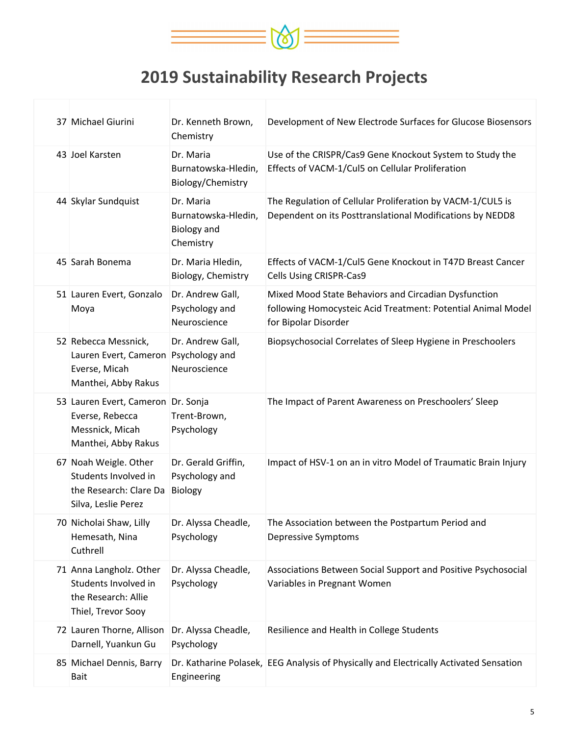

| 37 Michael Giurini                                                                                   | Dr. Kenneth Brown,<br>Chemistry                                     | Development of New Electrode Surfaces for Glucose Biosensors                                                                                 |
|------------------------------------------------------------------------------------------------------|---------------------------------------------------------------------|----------------------------------------------------------------------------------------------------------------------------------------------|
| 43 Joel Karsten                                                                                      | Dr. Maria<br>Burnatowska-Hledin,<br>Biology/Chemistry               | Use of the CRISPR/Cas9 Gene Knockout System to Study the<br>Effects of VACM-1/Cul5 on Cellular Proliferation                                 |
| 44 Skylar Sundquist                                                                                  | Dr. Maria<br>Burnatowska-Hledin,<br><b>Biology and</b><br>Chemistry | The Regulation of Cellular Proliferation by VACM-1/CUL5 is<br>Dependent on its Posttranslational Modifications by NEDD8                      |
| 45 Sarah Bonema                                                                                      | Dr. Maria Hledin,<br>Biology, Chemistry                             | Effects of VACM-1/Cul5 Gene Knockout in T47D Breast Cancer<br>Cells Using CRISPR-Cas9                                                        |
| 51 Lauren Evert, Gonzalo<br>Moya                                                                     | Dr. Andrew Gall,<br>Psychology and<br>Neuroscience                  | Mixed Mood State Behaviors and Circadian Dysfunction<br>following Homocysteic Acid Treatment: Potential Animal Model<br>for Bipolar Disorder |
| 52 Rebecca Messnick,<br>Lauren Evert, Cameron Psychology and<br>Everse, Micah<br>Manthei, Abby Rakus | Dr. Andrew Gall,<br>Neuroscience                                    | Biopsychosocial Correlates of Sleep Hygiene in Preschoolers                                                                                  |
| 53 Lauren Evert, Cameron Dr. Sonja<br>Everse, Rebecca<br>Messnick, Micah<br>Manthei, Abby Rakus      | Trent-Brown,<br>Psychology                                          | The Impact of Parent Awareness on Preschoolers' Sleep                                                                                        |
| 67 Noah Weigle. Other<br>Students Involved in<br>the Research: Clare Da<br>Silva, Leslie Perez       | Dr. Gerald Griffin,<br>Psychology and<br>Biology                    | Impact of HSV-1 on an in vitro Model of Traumatic Brain Injury                                                                               |
| 70 Nicholai Shaw, Lilly<br>Hemesath, Nina<br>Cuthrell                                                | Dr. Alyssa Cheadle,<br>Psychology                                   | The Association between the Postpartum Period and<br>Depressive Symptoms                                                                     |
| 71 Anna Langholz. Other<br>Students Involved in<br>the Research: Allie<br>Thiel, Trevor Sooy         | Dr. Alyssa Cheadle,<br>Psychology                                   | Associations Between Social Support and Positive Psychosocial<br>Variables in Pregnant Women                                                 |
| 72 Lauren Thorne, Allison<br>Darnell, Yuankun Gu                                                     | Dr. Alyssa Cheadle,<br>Psychology                                   | Resilience and Health in College Students                                                                                                    |
| 85 Michael Dennis, Barry<br><b>Bait</b>                                                              | Engineering                                                         | Dr. Katharine Polasek, EEG Analysis of Physically and Electrically Activated Sensation                                                       |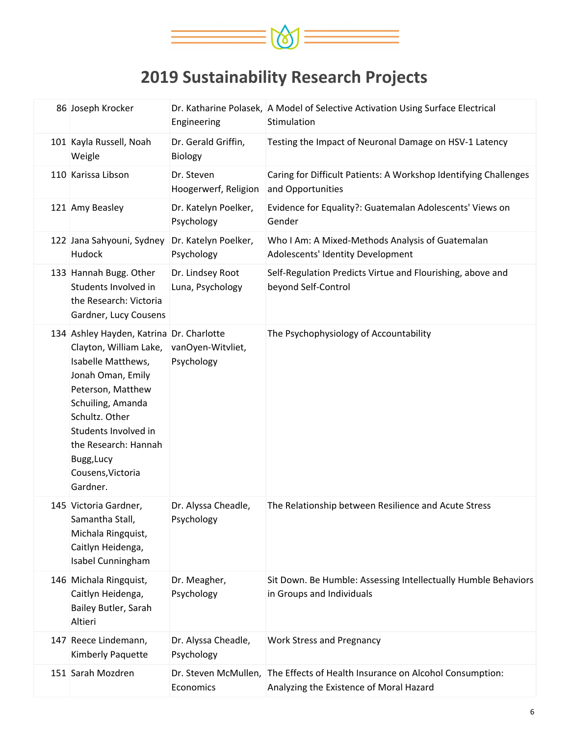

| 86 Joseph Krocker                                                                                                                                                                                                                                                        | Engineering                          | Dr. Katharine Polasek, A Model of Selective Activation Using Surface Electrical<br>Stimulation                          |
|--------------------------------------------------------------------------------------------------------------------------------------------------------------------------------------------------------------------------------------------------------------------------|--------------------------------------|-------------------------------------------------------------------------------------------------------------------------|
| 101 Kayla Russell, Noah<br>Weigle                                                                                                                                                                                                                                        | Dr. Gerald Griffin,<br>Biology       | Testing the Impact of Neuronal Damage on HSV-1 Latency                                                                  |
| 110 Karissa Libson                                                                                                                                                                                                                                                       | Dr. Steven<br>Hoogerwerf, Religion   | Caring for Difficult Patients: A Workshop Identifying Challenges<br>and Opportunities                                   |
| 121 Amy Beasley                                                                                                                                                                                                                                                          | Dr. Katelyn Poelker,<br>Psychology   | Evidence for Equality?: Guatemalan Adolescents' Views on<br>Gender                                                      |
| 122 Jana Sahyouni, Sydney<br>Hudock                                                                                                                                                                                                                                      | Dr. Katelyn Poelker,<br>Psychology   | Who I Am: A Mixed-Methods Analysis of Guatemalan<br>Adolescents' Identity Development                                   |
| 133 Hannah Bugg. Other<br>Students Involved in<br>the Research: Victoria<br>Gardner, Lucy Cousens                                                                                                                                                                        | Dr. Lindsey Root<br>Luna, Psychology | Self-Regulation Predicts Virtue and Flourishing, above and<br>beyond Self-Control                                       |
| 134 Ashley Hayden, Katrina Dr. Charlotte<br>Clayton, William Lake,<br>Isabelle Matthews,<br>Jonah Oman, Emily<br>Peterson, Matthew<br>Schuiling, Amanda<br>Schultz. Other<br>Students Involved in<br>the Research: Hannah<br>Bugg, Lucy<br>Cousens, Victoria<br>Gardner. | vanOyen-Witvliet,<br>Psychology      | The Psychophysiology of Accountability                                                                                  |
| 145 Victoria Gardner,<br>Samantha Stall,<br>Michala Ringquist,<br>Caitlyn Heidenga,<br>Isabel Cunningham                                                                                                                                                                 | Dr. Alyssa Cheadle,<br>Psychology    | The Relationship between Resilience and Acute Stress                                                                    |
| 146 Michala Ringquist,<br>Caitlyn Heidenga,<br>Bailey Butler, Sarah<br>Altieri                                                                                                                                                                                           | Dr. Meagher,<br>Psychology           | Sit Down. Be Humble: Assessing Intellectually Humble Behaviors<br>in Groups and Individuals                             |
| 147 Reece Lindemann,<br>Kimberly Paquette                                                                                                                                                                                                                                | Dr. Alyssa Cheadle,<br>Psychology    | <b>Work Stress and Pregnancy</b>                                                                                        |
| 151 Sarah Mozdren                                                                                                                                                                                                                                                        | Economics                            | Dr. Steven McMullen, The Effects of Health Insurance on Alcohol Consumption:<br>Analyzing the Existence of Moral Hazard |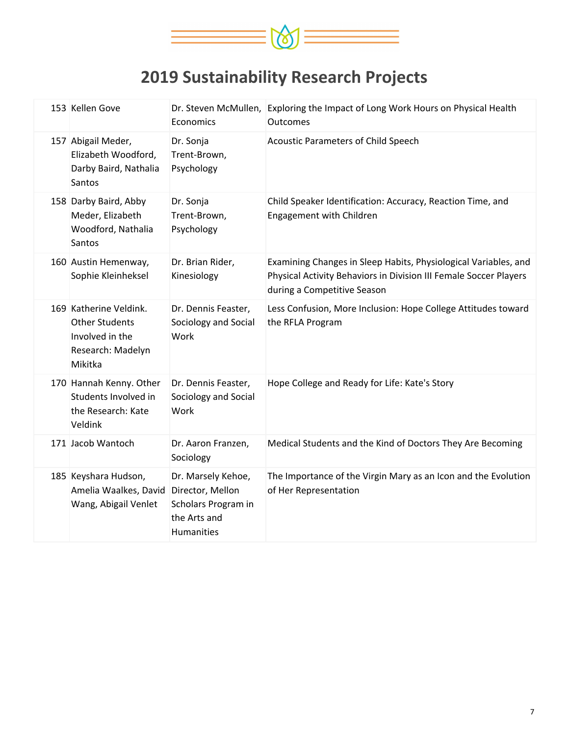

| 153 Kellen Gove                                                                                    | Economics                                                                                   | Dr. Steven McMullen, Exploring the Impact of Long Work Hours on Physical Health<br>Outcomes                                                                         |
|----------------------------------------------------------------------------------------------------|---------------------------------------------------------------------------------------------|---------------------------------------------------------------------------------------------------------------------------------------------------------------------|
| 157 Abigail Meder,<br>Elizabeth Woodford,<br>Darby Baird, Nathalia<br>Santos                       | Dr. Sonja<br>Trent-Brown,<br>Psychology                                                     | Acoustic Parameters of Child Speech                                                                                                                                 |
| 158 Darby Baird, Abby<br>Meder, Elizabeth<br>Woodford, Nathalia<br>Santos                          | Dr. Sonja<br>Trent-Brown,<br>Psychology                                                     | Child Speaker Identification: Accuracy, Reaction Time, and<br>Engagement with Children                                                                              |
| 160 Austin Hemenway,<br>Sophie Kleinheksel                                                         | Dr. Brian Rider,<br>Kinesiology                                                             | Examining Changes in Sleep Habits, Physiological Variables, and<br>Physical Activity Behaviors in Division III Female Soccer Players<br>during a Competitive Season |
| 169 Katherine Veldink.<br><b>Other Students</b><br>Involved in the<br>Research: Madelyn<br>Mikitka | Dr. Dennis Feaster,<br>Sociology and Social<br>Work                                         | Less Confusion, More Inclusion: Hope College Attitudes toward<br>the RFLA Program                                                                                   |
| 170 Hannah Kenny. Other<br>Students Involved in<br>the Research: Kate<br>Veldink                   | Dr. Dennis Feaster,<br>Sociology and Social<br>Work                                         | Hope College and Ready for Life: Kate's Story                                                                                                                       |
| 171 Jacob Wantoch                                                                                  | Dr. Aaron Franzen,<br>Sociology                                                             | Medical Students and the Kind of Doctors They Are Becoming                                                                                                          |
| 185 Keyshara Hudson,<br>Amelia Waalkes, David<br>Wang, Abigail Venlet                              | Dr. Marsely Kehoe,<br>Director, Mellon<br>Scholars Program in<br>the Arts and<br>Humanities | The Importance of the Virgin Mary as an Icon and the Evolution<br>of Her Representation                                                                             |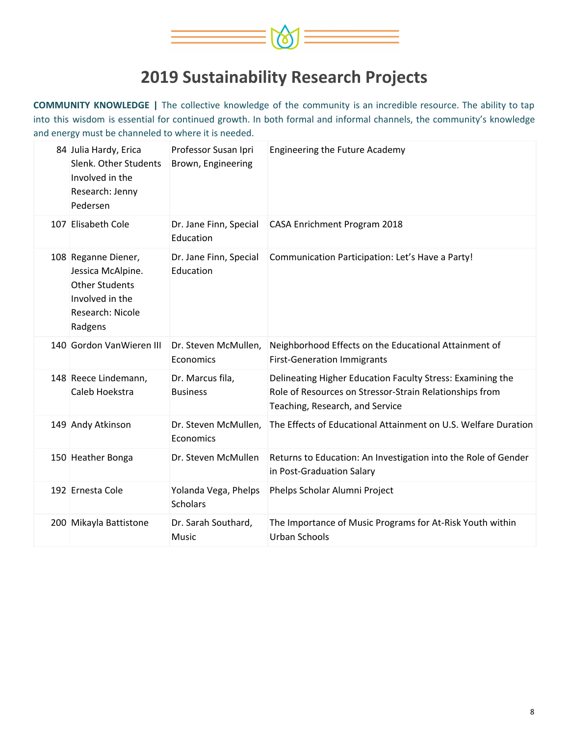

**COMMUNITY KNOWLEDGE |** The collective knowledge of the community is an incredible resource. The ability to tap into this wisdom is essential for continued growth. In both formal and informal channels, the community's knowledge and energy must be channeled to where it is needed.

| 84 Julia Hardy, Erica<br>Slenk. Other Students<br>Involved in the<br>Research: Jenny<br>Pedersen                    | Professor Susan Ipri<br>Brown, Engineering | <b>Engineering the Future Academy</b>                                                                                                                    |
|---------------------------------------------------------------------------------------------------------------------|--------------------------------------------|----------------------------------------------------------------------------------------------------------------------------------------------------------|
| 107 Elisabeth Cole                                                                                                  | Dr. Jane Finn, Special<br>Education        | CASA Enrichment Program 2018                                                                                                                             |
| 108 Reganne Diener,<br>Jessica McAlpine.<br><b>Other Students</b><br>Involved in the<br>Research: Nicole<br>Radgens | Dr. Jane Finn, Special<br>Education        | Communication Participation: Let's Have a Party!                                                                                                         |
| 140 Gordon VanWieren III                                                                                            | Dr. Steven McMullen,<br>Economics          | Neighborhood Effects on the Educational Attainment of<br><b>First-Generation Immigrants</b>                                                              |
| 148 Reece Lindemann,<br>Caleb Hoekstra                                                                              | Dr. Marcus fila,<br><b>Business</b>        | Delineating Higher Education Faculty Stress: Examining the<br>Role of Resources on Stressor-Strain Relationships from<br>Teaching, Research, and Service |
| 149 Andy Atkinson                                                                                                   | Dr. Steven McMullen,<br>Economics          | The Effects of Educational Attainment on U.S. Welfare Duration                                                                                           |
| 150 Heather Bonga                                                                                                   | Dr. Steven McMullen                        | Returns to Education: An Investigation into the Role of Gender<br>in Post-Graduation Salary                                                              |
| 192 Ernesta Cole                                                                                                    | Yolanda Vega, Phelps<br><b>Scholars</b>    | Phelps Scholar Alumni Project                                                                                                                            |
| 200 Mikayla Battistone                                                                                              | Dr. Sarah Southard,<br><b>Music</b>        | The Importance of Music Programs for At-Risk Youth within<br>Urban Schools                                                                               |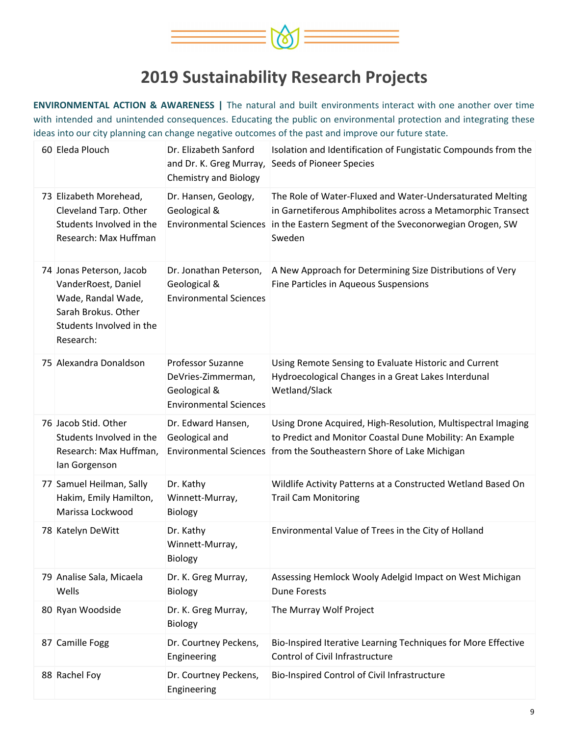

**ENVIRONMENTAL ACTION & AWARENESS |** The natural and built environments interact with one another over time with intended and unintended consequences. Educating the public on environmental protection and integrating these ideas into our city planning can change negative outcomes of the past and improve our future state.

| 60 Eleda Plouch                                                                                                                       | Dr. Elizabeth Sanford<br>and Dr. K. Greg Murray,<br><b>Chemistry and Biology</b>                | Isolation and Identification of Fungistatic Compounds from the<br><b>Seeds of Pioneer Species</b>                                                                                                 |
|---------------------------------------------------------------------------------------------------------------------------------------|-------------------------------------------------------------------------------------------------|---------------------------------------------------------------------------------------------------------------------------------------------------------------------------------------------------|
| 73 Elizabeth Morehead,<br>Cleveland Tarp. Other<br>Students Involved in the<br>Research: Max Huffman                                  | Dr. Hansen, Geology,<br>Geological &<br><b>Environmental Sciences</b>                           | The Role of Water-Fluxed and Water-Undersaturated Melting<br>in Garnetiferous Amphibolites across a Metamorphic Transect<br>in the Eastern Segment of the Sveconorwegian Orogen, SW<br>Sweden     |
| 74 Jonas Peterson, Jacob<br>VanderRoest, Daniel<br>Wade, Randal Wade,<br>Sarah Brokus. Other<br>Students Involved in the<br>Research: | Dr. Jonathan Peterson,<br>Geological &<br><b>Environmental Sciences</b>                         | A New Approach for Determining Size Distributions of Very<br>Fine Particles in Aqueous Suspensions                                                                                                |
| 75 Alexandra Donaldson                                                                                                                | <b>Professor Suzanne</b><br>DeVries-Zimmerman,<br>Geological &<br><b>Environmental Sciences</b> | Using Remote Sensing to Evaluate Historic and Current<br>Hydroecological Changes in a Great Lakes Interdunal<br>Wetland/Slack                                                                     |
| 76 Jacob Stid. Other<br>Students Involved in the<br>Research: Max Huffman,<br>lan Gorgenson                                           | Dr. Edward Hansen,<br>Geological and                                                            | Using Drone Acquired, High-Resolution, Multispectral Imaging<br>to Predict and Monitor Coastal Dune Mobility: An Example<br>Environmental Sciences   from the Southeastern Shore of Lake Michigan |
| 77 Samuel Heilman, Sally<br>Hakim, Emily Hamilton,<br>Marissa Lockwood                                                                | Dr. Kathy<br>Winnett-Murray,<br>Biology                                                         | Wildlife Activity Patterns at a Constructed Wetland Based On<br><b>Trail Cam Monitoring</b>                                                                                                       |
| 78 Katelyn DeWitt                                                                                                                     | Dr. Kathy<br>Winnett-Murray,<br>Biology                                                         | Environmental Value of Trees in the City of Holland                                                                                                                                               |
| 79 Analise Sala, Micaela<br>Wells                                                                                                     | Dr. K. Greg Murray,<br>Biology                                                                  | Assessing Hemlock Wooly Adelgid Impact on West Michigan<br><b>Dune Forests</b>                                                                                                                    |
| 80 Ryan Woodside                                                                                                                      | Dr. K. Greg Murray,<br>Biology                                                                  | The Murray Wolf Project                                                                                                                                                                           |
| 87 Camille Fogg                                                                                                                       | Dr. Courtney Peckens,<br>Engineering                                                            | Bio-Inspired Iterative Learning Techniques for More Effective<br>Control of Civil Infrastructure                                                                                                  |
| 88 Rachel Foy                                                                                                                         | Dr. Courtney Peckens,<br>Engineering                                                            | Bio-Inspired Control of Civil Infrastructure                                                                                                                                                      |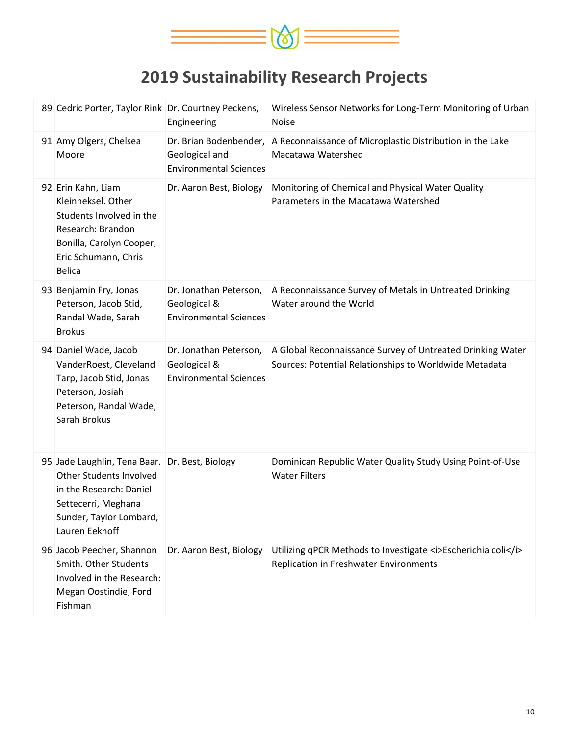

| 89 Cedric Porter, Taylor Rink Dr. Courtney Peckens,                                                                                                                      | Engineering                                                             | Wireless Sensor Networks for Long-Term Monitoring of Urban<br><b>Noise</b>                                           |
|--------------------------------------------------------------------------------------------------------------------------------------------------------------------------|-------------------------------------------------------------------------|----------------------------------------------------------------------------------------------------------------------|
| 91 Amy Olgers, Chelsea<br>Moore                                                                                                                                          | Geological and<br><b>Environmental Sciences</b>                         | Dr. Brian Bodenbender, A Reconnaissance of Microplastic Distribution in the Lake<br>Macatawa Watershed               |
| 92 Erin Kahn, Liam<br>Kleinheksel. Other<br>Students Involved in the<br>Research: Brandon<br>Bonilla, Carolyn Cooper,<br>Eric Schumann, Chris<br><b>Belica</b>           | Dr. Aaron Best, Biology                                                 | Monitoring of Chemical and Physical Water Quality<br>Parameters in the Macatawa Watershed                            |
| 93 Benjamin Fry, Jonas<br>Peterson, Jacob Stid,<br>Randal Wade, Sarah<br><b>Brokus</b>                                                                                   | Dr. Jonathan Peterson,<br>Geological &<br><b>Environmental Sciences</b> | A Reconnaissance Survey of Metals in Untreated Drinking<br>Water around the World                                    |
| 94 Daniel Wade, Jacob<br>VanderRoest, Cleveland<br>Tarp, Jacob Stid, Jonas<br>Peterson, Josiah<br>Peterson, Randal Wade,<br>Sarah Brokus                                 | Dr. Jonathan Peterson,<br>Geological &<br><b>Environmental Sciences</b> | A Global Reconnaissance Survey of Untreated Drinking Water<br>Sources: Potential Relationships to Worldwide Metadata |
| 95 Jade Laughlin, Tena Baar. Dr. Best, Biology<br>Other Students Involved<br>in the Research: Daniel<br>Settecerri, Meghana<br>Sunder, Taylor Lombard,<br>Lauren Eekhoff |                                                                         | Dominican Republic Water Quality Study Using Point-of-Use<br><b>Water Filters</b>                                    |
| 96 Jacob Peecher, Shannon<br>Smith. Other Students<br>Involved in the Research:<br>Megan Oostindie, Ford<br>Fishman                                                      | Dr. Aaron Best, Biology                                                 | Utilizing qPCR Methods to Investigate <i>Escherichia coli</i><br>Replication in Freshwater Environments              |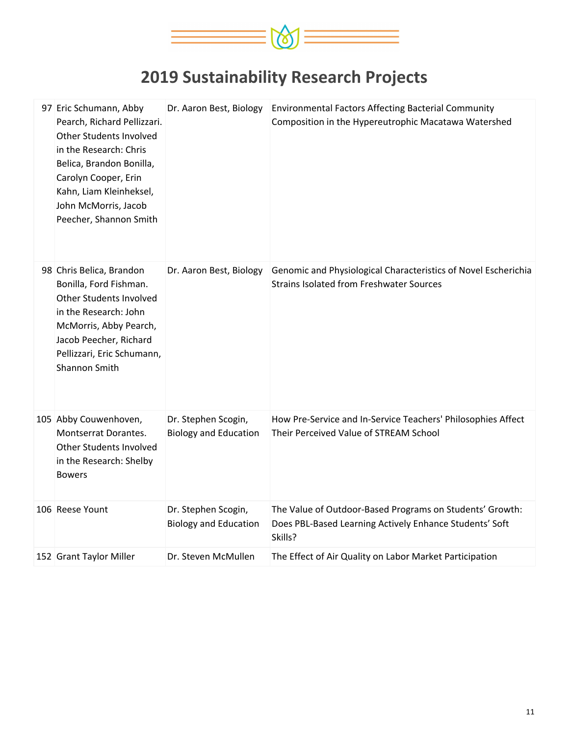

| 97 Eric Schumann, Abby<br>Pearch, Richard Pellizzari.<br>Other Students Involved<br>in the Research: Chris<br>Belica, Brandon Bonilla,<br>Carolyn Cooper, Erin<br>Kahn, Liam Kleinheksel,<br>John McMorris, Jacob<br>Peecher, Shannon Smith | Dr. Aaron Best, Biology                             | <b>Environmental Factors Affecting Bacterial Community</b><br>Composition in the Hypereutrophic Macatawa Watershed             |
|---------------------------------------------------------------------------------------------------------------------------------------------------------------------------------------------------------------------------------------------|-----------------------------------------------------|--------------------------------------------------------------------------------------------------------------------------------|
| 98 Chris Belica, Brandon<br>Bonilla, Ford Fishman.<br>Other Students Involved<br>in the Research: John<br>McMorris, Abby Pearch,<br>Jacob Peecher, Richard<br>Pellizzari, Eric Schumann,<br>Shannon Smith                                   | Dr. Aaron Best, Biology                             | Genomic and Physiological Characteristics of Novel Escherichia<br><b>Strains Isolated from Freshwater Sources</b>              |
| 105 Abby Couwenhoven,<br>Montserrat Dorantes.<br>Other Students Involved<br>in the Research: Shelby<br><b>Bowers</b>                                                                                                                        | Dr. Stephen Scogin,<br><b>Biology and Education</b> | How Pre-Service and In-Service Teachers' Philosophies Affect<br>Their Perceived Value of STREAM School                         |
| 106 Reese Yount                                                                                                                                                                                                                             | Dr. Stephen Scogin,<br><b>Biology and Education</b> | The Value of Outdoor-Based Programs on Students' Growth:<br>Does PBL-Based Learning Actively Enhance Students' Soft<br>Skills? |
| 152 Grant Taylor Miller                                                                                                                                                                                                                     | Dr. Steven McMullen                                 | The Effect of Air Quality on Labor Market Participation                                                                        |